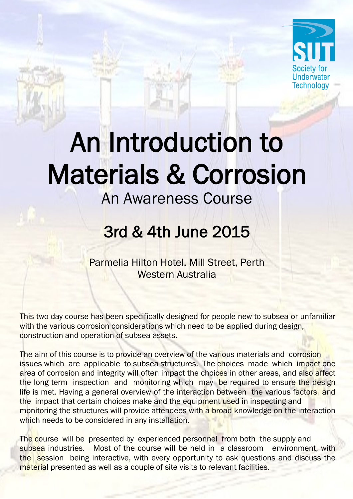

# An Introduction to Materials & Corrosion

### An Awareness Course

## 3rd & 4th June 2015

Parmelia Hilton Hotel, Mill Street, Perth Western Australia

This two-day course has been specifically designed for people new to subsea or unfamiliar with the various corrosion considerations which need to be applied during design, construction and operation of subsea assets.

The aim of this course is to provide an overview of the various materials and corrosion issues which are applicable to subsea structures. The choices made which impact one area of corrosion and integrity will often impact the choices in other areas, and also affect the long term inspection and monitoring which may be required to ensure the design life is met. Having a general overview of the interaction between the various factors and the impact that certain choices make and the equipment used in inspecting and monitoring the structures will provide attendees with a broad knowledge on the interaction which needs to be considered in any installation.

The course will be presented by experienced personnel from both the supply and subsea industries. Most of the course will be held in a classroom environment, with the session being interactive, with every opportunity to ask questions and discuss the material presented as well as a couple of site visits to relevant facilities.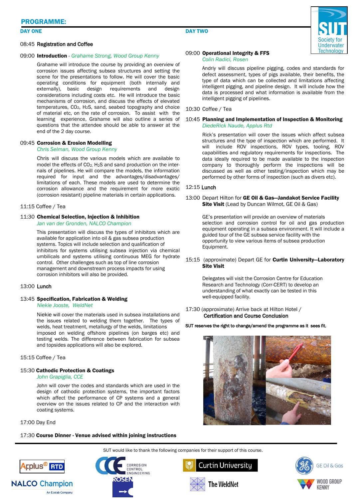#### DAY ONE

#### 08:45 Registration and Coffee

#### 09:00 Introduction *- Grahame Strong, Wood Group Kenny*

Grahame will introduce the course by providing an overview of corrosion issues affecting subsea structures and setting the scene for the presentations to follow. He will cover the basic operating conditions for equipment (both internally and externally), basic design requirements and design considerations including costs etc. He will introduce the basic mechanisms of corrosion, and discuss the effects of elevated temperatures, CO2, H2S, sand, seabed topography and choice of material etc, on the rate of corrosion. To assist with the learning experience, Grahame will also outline a series of questions that the attendee should be able to answer at the end of the 2 day course.

#### 09:45 Corrosion & Erosion Modelling

#### *Chris Selman, Wood Group Kenny*

Chris will discuss the various models which are available to model the effects of  $CO<sub>2</sub>$ , H<sub>2</sub>S and sand production on the internals of pipelines. He will compare the models, the information required for input and the advantages/disadvantages/ limitations of each. These models are used to determine the corrosion allowance and the requirement for more exotic (corrosion resistant) pipeline materials in certain applications.

#### 11:15 Coffee / Tea

#### 11:30 Chemical Selection, Injection & Inhibition

*Jan van der Gronden, NALCO Champion*

This presentation will discuss the types of inhibitors which are available for application into oil & gas subsea production systems. Topics will include selection and qualification of inhibitors for systems utilising subsea injection via chemical umbilicals and systems utilising continuous MEG for hydrate control. Other challenges such as top of line corrosion management and downstream process impacts for using corrosion inhibitors will also be provided.

#### 13:00 Lunch

#### 13:45 Specification, Fabrication & Welding

#### *Niekie Jooste, WeldNet*

Niekie will cover the materials used in subsea installations and the issues related to welding them together. The types of welds, heat treatment, metallurgy of the welds, limitations imposed on welding offshore pipelines (on barges etc) and testing welds. The difference between fabrication for subsea and topsides applications will also be explored.

15:15 Coffee / Tea

#### 15:30 Cathodic Protection & Coatings

#### *John Grapiglia, CCE*

John will cover the codes and standards which are used in the design of cathodic protection systems, the important factors which affect the performance of CP systems and a general overview on the issues related to CP and the interaction with coating systems.

17:00 Day End

#### 17:30 Course Dinner - Venue advised within joining instructions





#### 09:00 Operational Integrity & FFS

#### *Colin Radici, Rosen*

Andriy will discuss pipeline pigging, codes and standards for defect assessment, types of pigs available, their benefits, the type of data which can be collected and limitations affecting intelligent pigging, and pipeline design. It will include how the data is processed and what information is available from the intelligent pigging of pipelines.

#### 10:30 Coffee / Tea

#### 10:45 Planning and Implementation of Inspection & Monitoring *DiedeRick Naude, Applus Rtd*

Rick's presentation will cover the issues which affect subsea structures and the type of inspection which are performed. It will include ROV inspections, ROV types, tooling, ROV capabilities and regulatory requirements for inspections. The data ideally required to be made available to the inspection company to thoroughly perform the inspections will be discussed as well as other testing/inspection which may be performed by other forms of inspection (such as divers etc).

#### 12:15 Lunch

#### 13:00 Depart Hilton for GE Oil & Gas-Jandakot Service Facility Site Visit (Lead by Duncan Wilmot, GE Oil & Gas)

GE's presentation will provide an overview of materials selection and corrosion control for oil and gas production equipment operating in a subsea environment. It will include a guided tour of the GE subsea service facility with the opportunity to view various items of subsea production Equipment.

#### 15:15 (approximate) Depart GE for Curtin University—Laboratory Site Visit

 Delegates will visit the Corrosion Centre for Education Research and Technology (Corr-CERT) to develop an understanding of what exactly can be tested in this well-equipped facility.

17:30 (approximate) Arrive back at Hilton Hotel / Certification and Course Conclusion

#### SUT reserves the right to change/amend the programme as it sees fit.



SUT would like to thank the following companies for their support of this course.







**CORROSION CONTROL** 

**FNGINFFRING** 

20SEN